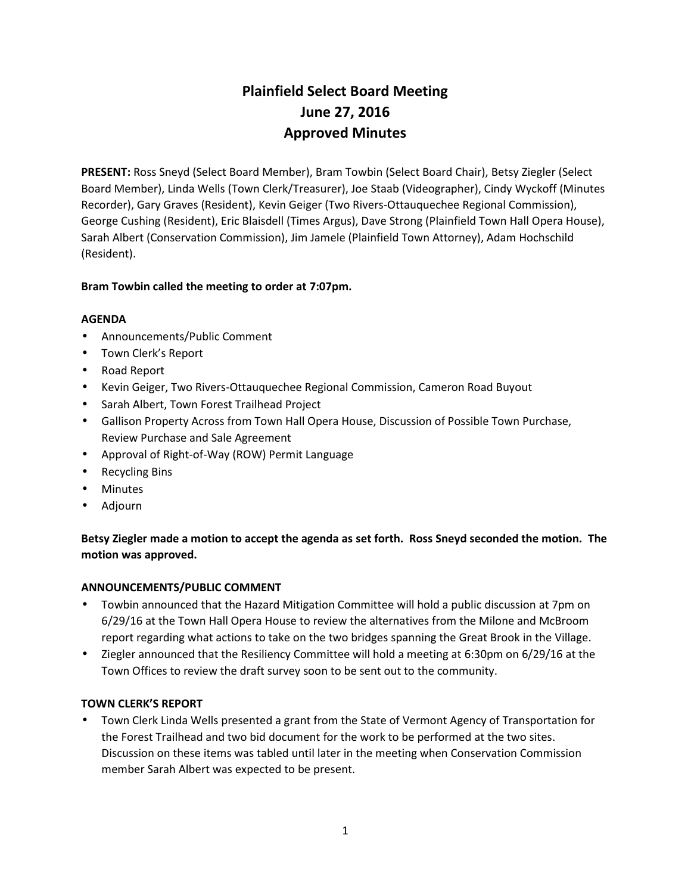# **Plainfield Select Board Meeting June 27, 2016 Approved Minutes**

**PRESENT:** Ross Sneyd (Select Board Member), Bram Towbin (Select Board Chair), Betsy Ziegler (Select Board Member), Linda Wells (Town Clerk/Treasurer), Joe Staab (Videographer), Cindy Wyckoff (Minutes Recorder), Gary Graves (Resident), Kevin Geiger (Two Rivers-Ottauquechee Regional Commission), George Cushing (Resident), Eric Blaisdell (Times Argus), Dave Strong (Plainfield Town Hall Opera House), Sarah Albert (Conservation Commission), Jim Jamele (Plainfield Town Attorney), Adam Hochschild (Resident).

# **Bram Towbin called the meeting to order at 7:07pm.**

## **AGENDA**

- Announcements/Public Comment
- Town Clerk's Report
- Road Report
- Kevin Geiger, Two Rivers-Ottauquechee Regional Commission, Cameron Road Buyout
- Sarah Albert, Town Forest Trailhead Project
- Gallison Property Across from Town Hall Opera House, Discussion of Possible Town Purchase, Review Purchase and Sale Agreement
- Approval of Right-of-Way (ROW) Permit Language
- Recycling Bins
- Minutes
- Adjourn

# **Betsy Ziegler made a motion to accept the agenda as set forth. Ross Sneyd seconded the motion. The motion was approved.**

## **ANNOUNCEMENTS/PUBLIC COMMENT**

- Towbin announced that the Hazard Mitigation Committee will hold a public discussion at 7pm on 6/29/16 at the Town Hall Opera House to review the alternatives from the Milone and McBroom report regarding what actions to take on the two bridges spanning the Great Brook in the Village.
- Ziegler announced that the Resiliency Committee will hold a meeting at 6:30pm on 6/29/16 at the Town Offices to review the draft survey soon to be sent out to the community.

#### **TOWN CLERK'S REPORT**

 Town Clerk Linda Wells presented a grant from the State of Vermont Agency of Transportation for the Forest Trailhead and two bid document for the work to be performed at the two sites. Discussion on these items was tabled until later in the meeting when Conservation Commission member Sarah Albert was expected to be present.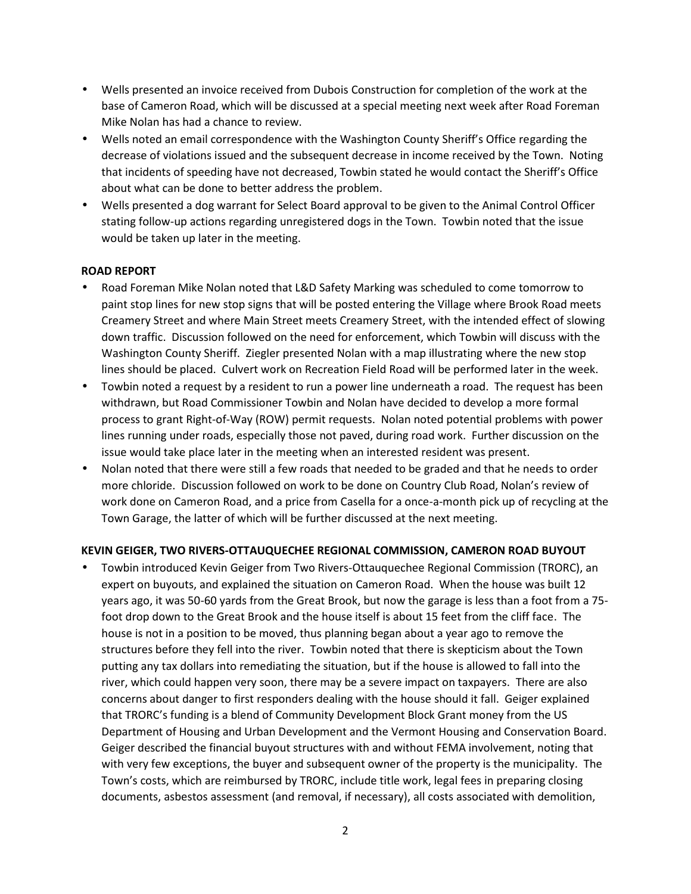- Wells presented an invoice received from Dubois Construction for completion of the work at the base of Cameron Road, which will be discussed at a special meeting next week after Road Foreman Mike Nolan has had a chance to review.
- Wells noted an email correspondence with the Washington County Sheriff's Office regarding the decrease of violations issued and the subsequent decrease in income received by the Town. Noting that incidents of speeding have not decreased, Towbin stated he would contact the Sheriff's Office about what can be done to better address the problem.
- Wells presented a dog warrant for Select Board approval to be given to the Animal Control Officer stating follow-up actions regarding unregistered dogs in the Town. Towbin noted that the issue would be taken up later in the meeting.

## **ROAD REPORT**

- Road Foreman Mike Nolan noted that L&D Safety Marking was scheduled to come tomorrow to paint stop lines for new stop signs that will be posted entering the Village where Brook Road meets Creamery Street and where Main Street meets Creamery Street, with the intended effect of slowing down traffic. Discussion followed on the need for enforcement, which Towbin will discuss with the Washington County Sheriff. Ziegler presented Nolan with a map illustrating where the new stop lines should be placed. Culvert work on Recreation Field Road will be performed later in the week.
- Towbin noted a request by a resident to run a power line underneath a road. The request has been withdrawn, but Road Commissioner Towbin and Nolan have decided to develop a more formal process to grant Right-of-Way (ROW) permit requests. Nolan noted potential problems with power lines running under roads, especially those not paved, during road work. Further discussion on the issue would take place later in the meeting when an interested resident was present.
- Nolan noted that there were still a few roads that needed to be graded and that he needs to order more chloride. Discussion followed on work to be done on Country Club Road, Nolan's review of work done on Cameron Road, and a price from Casella for a once-a-month pick up of recycling at the Town Garage, the latter of which will be further discussed at the next meeting.

## **KEVIN GEIGER, TWO RIVERS-OTTAUQUECHEE REGIONAL COMMISSION, CAMERON ROAD BUYOUT**

 Towbin introduced Kevin Geiger from Two Rivers-Ottauquechee Regional Commission (TRORC), an expert on buyouts, and explained the situation on Cameron Road. When the house was built 12 years ago, it was 50-60 yards from the Great Brook, but now the garage is less than a foot from a 75 foot drop down to the Great Brook and the house itself is about 15 feet from the cliff face. The house is not in a position to be moved, thus planning began about a year ago to remove the structures before they fell into the river. Towbin noted that there is skepticism about the Town putting any tax dollars into remediating the situation, but if the house is allowed to fall into the river, which could happen very soon, there may be a severe impact on taxpayers. There are also concerns about danger to first responders dealing with the house should it fall. Geiger explained that TRORC's funding is a blend of Community Development Block Grant money from the US Department of Housing and Urban Development and the Vermont Housing and Conservation Board. Geiger described the financial buyout structures with and without FEMA involvement, noting that with very few exceptions, the buyer and subsequent owner of the property is the municipality. The Town's costs, which are reimbursed by TRORC, include title work, legal fees in preparing closing documents, asbestos assessment (and removal, if necessary), all costs associated with demolition,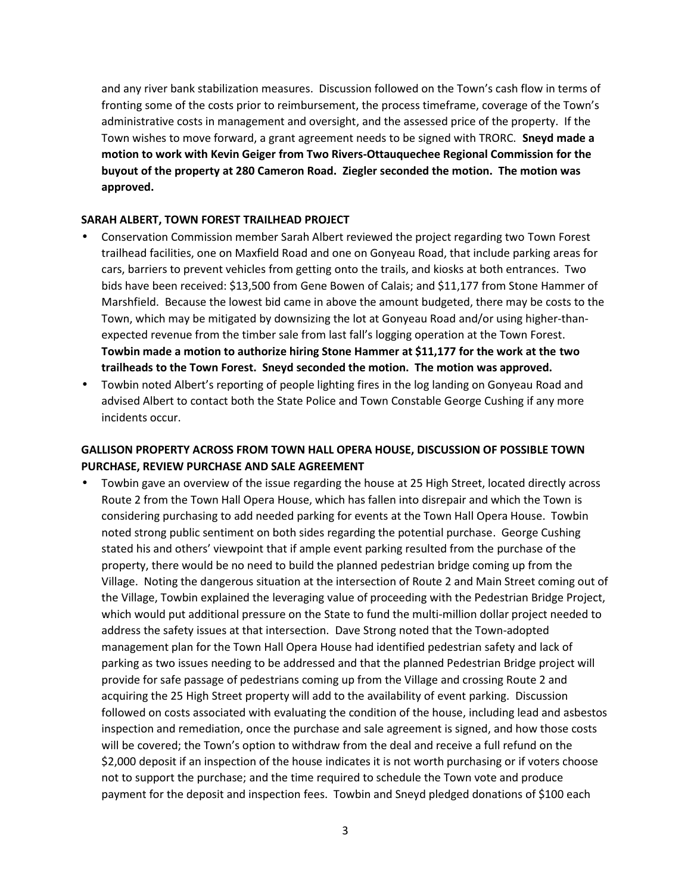and any river bank stabilization measures. Discussion followed on the Town's cash flow in terms of fronting some of the costs prior to reimbursement, the process timeframe, coverage of the Town's administrative costs in management and oversight, and the assessed price of the property. If the Town wishes to move forward, a grant agreement needs to be signed with TRORC. **Sneyd made a motion to work with Kevin Geiger from Two Rivers-Ottauquechee Regional Commission for the buyout of the property at 280 Cameron Road. Ziegler seconded the motion. The motion was approved.**

#### **SARAH ALBERT, TOWN FOREST TRAILHEAD PROJECT**

- Conservation Commission member Sarah Albert reviewed the project regarding two Town Forest trailhead facilities, one on Maxfield Road and one on Gonyeau Road, that include parking areas for cars, barriers to prevent vehicles from getting onto the trails, and kiosks at both entrances. Two bids have been received: \$13,500 from Gene Bowen of Calais; and \$11,177 from Stone Hammer of Marshfield. Because the lowest bid came in above the amount budgeted, there may be costs to the Town, which may be mitigated by downsizing the lot at Gonyeau Road and/or using higher-than expected revenue from the timber sale from last fall's logging operation at the Town Forest. **Towbin made a motion to authorize hiring Stone Hammer at \$11,177 for the work at the two trailheads to the Town Forest. Sneyd seconded the motion. The motion was approved.**
- Towbin noted Albert's reporting of people lighting fires in the log landing on Gonyeau Road and advised Albert to contact both the State Police and Town Constable George Cushing if any more incidents occur.

# **GALLISON PROPERTY ACROSS FROM TOWN HALL OPERA HOUSE, DISCUSSION OF POSSIBLE TOWN PURCHASE, REVIEW PURCHASE AND SALE AGREEMENT**

 Towbin gave an overview of the issue regarding the house at 25 High Street, located directly across Route 2 from the Town Hall Opera House, which has fallen into disrepair and which the Town is considering purchasing to add needed parking for events at the Town Hall Opera House. Towbin noted strong public sentiment on both sides regarding the potential purchase. George Cushing stated his and others' viewpoint that if ample event parking resulted from the purchase of the property, there would be no need to build the planned pedestrian bridge coming up from the Village. Noting the dangerous situation at the intersection of Route 2 and Main Street coming out of the Village, Towbin explained the leveraging value of proceeding with the Pedestrian Bridge Project, which would put additional pressure on the State to fund the multi-million dollar project needed to address the safety issues at that intersection. Dave Strong noted that the Town-adopted management plan for the Town Hall Opera House had identified pedestrian safety and lack of parking as two issues needing to be addressed and that the planned Pedestrian Bridge project will provide for safe passage of pedestrians coming up from the Village and crossing Route 2 and acquiring the 25 High Street property will add to the availability of event parking. Discussion followed on costs associated with evaluating the condition of the house, including lead and asbestos inspection and remediation, once the purchase and sale agreement is signed, and how those costs will be covered; the Town's option to withdraw from the deal and receive a full refund on the \$2,000 deposit if an inspection of the house indicates it is not worth purchasing or if voters choose not to support the purchase; and the time required to schedule the Town vote and produce payment for the deposit and inspection fees. Towbin and Sneyd pledged donations of \$100 each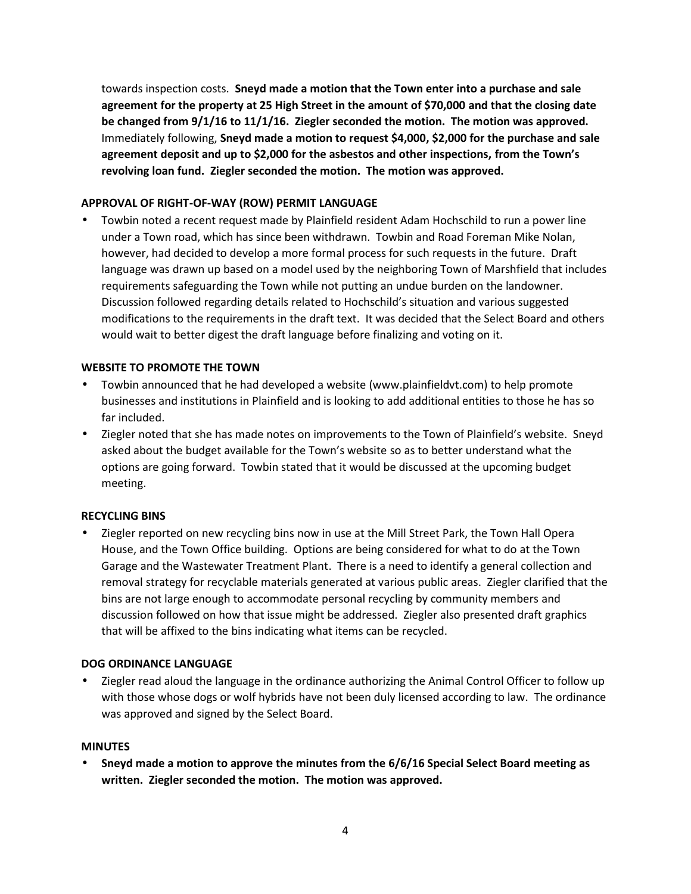towards inspection costs. **Sneyd made a motion that the Town enter into a purchase and sale agreement for the property at 25 High Street in the amount of \$70,000 and that the closing date be changed from 9/1/16 to 11/1/16. Ziegler seconded the motion. The motion was approved.** Immediately following, **Sneyd made a motion to request \$4,000, \$2,000 for the purchase and sale agreement deposit and up to \$2,000 for the asbestos and other inspections, from the Town's revolving loan fund. Ziegler seconded the motion. The motion was approved.**

## **APPROVAL OF RIGHT-OF-WAY (ROW) PERMIT LANGUAGE**

 Towbin noted a recent request made by Plainfield resident Adam Hochschild to run a power line under a Town road, which has since been withdrawn. Towbin and Road Foreman Mike Nolan, however, had decided to develop a more formal process for such requests in the future. Draft language was drawn up based on a model used by the neighboring Town of Marshfield that includes requirements safeguarding the Town while not putting an undue burden on the landowner. Discussion followed regarding details related to Hochschild's situation and various suggested modifications to the requirements in the draft text. It was decided that the Select Board and others would wait to better digest the draft language before finalizing and voting on it.

## **WEBSITE TO PROMOTE THE TOWN**

- Towbin announced that he had developed a website (www.plainfieldvt.com) to help promote businesses and institutions in Plainfield and is looking to add additional entities to those he has so far included.
- Ziegler noted that she has made notes on improvements to the Town of Plainfield's website. Sneyd asked about the budget available for the Town's website so as to better understand what the options are going forward. Towbin stated that it would be discussed at the upcoming budget meeting.

## **RECYCLING BINS**

 Ziegler reported on new recycling bins now in use at the Mill Street Park, the Town Hall Opera House, and the Town Office building. Options are being considered for what to do at the Town Garage and the Wastewater Treatment Plant. There is a need to identify a general collection and removal strategy for recyclable materials generated at various public areas. Ziegler clarified that the bins are not large enough to accommodate personal recycling by community members and discussion followed on how that issue might be addressed. Ziegler also presented draft graphics that will be affixed to the bins indicating what items can be recycled.

## **DOG ORDINANCE LANGUAGE**

 Ziegler read aloud the language in the ordinance authorizing the Animal Control Officer to follow up with those whose dogs or wolf hybrids have not been duly licensed according to law. The ordinance was approved and signed by the Select Board.

## **MINUTES**

 **Sneyd made a motion to approve the minutes from the 6/6/16 Special Select Board meeting as written. Ziegler seconded the motion. The motion was approved.**